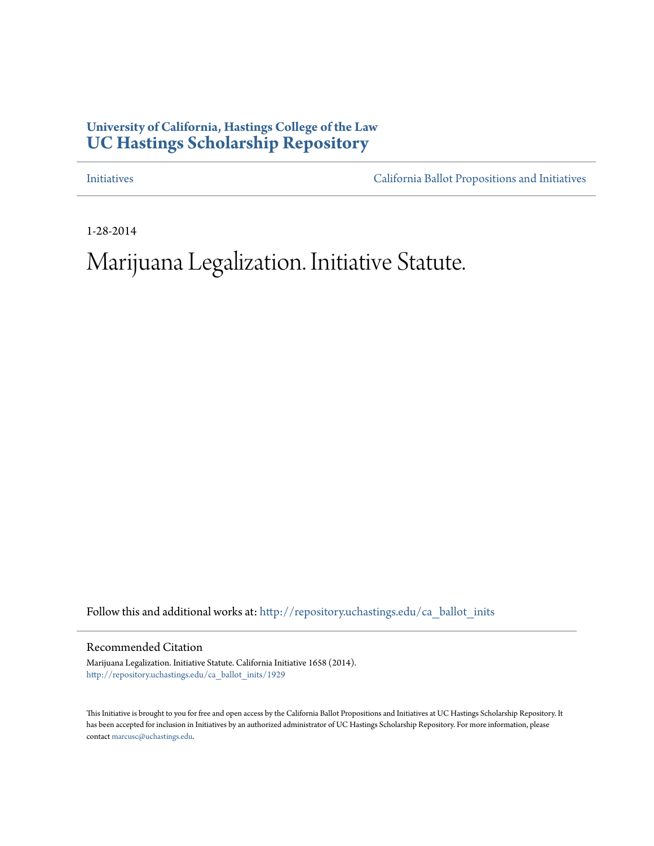## **University of California, Hastings College of the Law [UC Hastings Scholarship Repository](http://repository.uchastings.edu?utm_source=repository.uchastings.edu%2Fca_ballot_inits%2F1929&utm_medium=PDF&utm_campaign=PDFCoverPages)**

[Initiatives](http://repository.uchastings.edu/ca_ballot_inits?utm_source=repository.uchastings.edu%2Fca_ballot_inits%2F1929&utm_medium=PDF&utm_campaign=PDFCoverPages) [California Ballot Propositions and Initiatives](http://repository.uchastings.edu/ca_ballots?utm_source=repository.uchastings.edu%2Fca_ballot_inits%2F1929&utm_medium=PDF&utm_campaign=PDFCoverPages)

1-28-2014

# Marijuana Legalization. Initiative Statute.

Follow this and additional works at: [http://repository.uchastings.edu/ca\\_ballot\\_inits](http://repository.uchastings.edu/ca_ballot_inits?utm_source=repository.uchastings.edu%2Fca_ballot_inits%2F1929&utm_medium=PDF&utm_campaign=PDFCoverPages)

Recommended Citation

Marijuana Legalization. Initiative Statute. California Initiative 1658 (2014). [http://repository.uchastings.edu/ca\\_ballot\\_inits/1929](http://repository.uchastings.edu/ca_ballot_inits/1929?utm_source=repository.uchastings.edu%2Fca_ballot_inits%2F1929&utm_medium=PDF&utm_campaign=PDFCoverPages)

This Initiative is brought to you for free and open access by the California Ballot Propositions and Initiatives at UC Hastings Scholarship Repository. It has been accepted for inclusion in Initiatives by an authorized administrator of UC Hastings Scholarship Repository. For more information, please contact [marcusc@uchastings.edu](mailto:marcusc@uchastings.edu).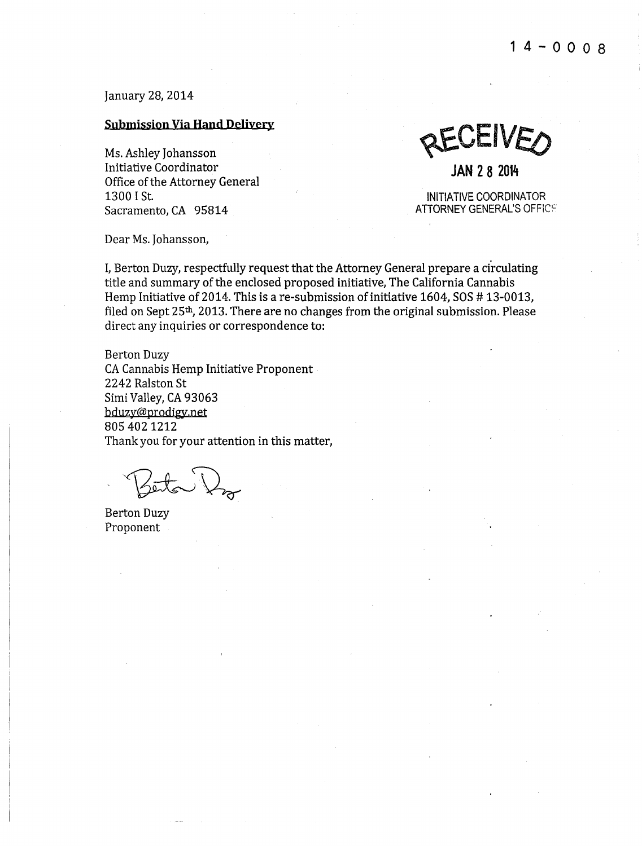January 28, 2014

### **Submission Via Hand Delivery**

Initiative Coordinator **JAN 2 8 2014**  Office of the Attorney General<br>1300 I St. Sacramento, CA 95814

Ms. Ashley Johansson **@ECEIVE** 

INITIATIVE COORDINATOR<br>ATTORNEY GENERAL'S OFFICE

Dear Ms. Johansson,

I, Berton Duzy, respectfully request that the Attorney General prepare a circulating title and summary of the enclosed proposed initiative, The California Cannabis Hemp Initiative of 2014. This is are-submission of initiative 1604, SOS # 13-0013, filed on Sept 25th, 2013. There are no changes from the original submission. Please direct any inquiries or correspondence to:

Berton Duzy CA Cannabis Hemp Initiative Proponent 2242 Ralston St Simi Valley, CA 93063 bduzy@prodigy.net 805 4021212 Thank you for your attention in this matter,

Zeita J

Berton Duzy Proponent